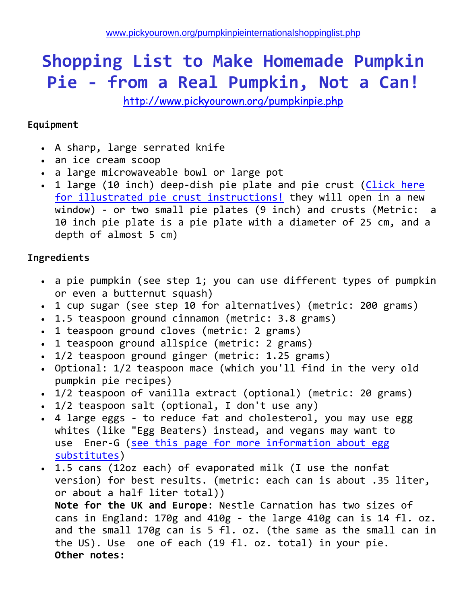## **Shopping List to Make Homemade Pumpkin Pie - from a Real Pumpkin, Not a Can!**

<http://www.pickyourown.org/pumpkinpie.php>

## **Equipment**

- A sharp, large serrated knife
- an ice cream scoop
- a large microwaveable bowl or large pot
- 1 large (10 inch) deep-dish pie plate and pie crust (Click here [for illustrated pie crust instructions!](http://www.pickyourown.org/piecrust.php) they will open in a new window) - or two small pie plates (9 inch) and crusts (Metric: a 10 inch pie plate is a pie plate with a diameter of 25 cm, and a depth of almost 5 cm)

## **Ingredients**

- a pie pumpkin (see step 1; you can use different types of pumpkin or even a butternut squash)
- 1 cup sugar (see step 10 for alternatives) (metric: 200 grams)
- 1.5 teaspoon ground cinnamon (metric: 3.8 grams)
- 1 teaspoon ground cloves (metric: 2 grams)
- 1 teaspoon ground allspice (metric: 2 grams)
- 1/2 teaspoon ground ginger (metric: 1.25 grams)
- Optional: 1/2 teaspoon mace (which you'll find in the very old pumpkin pie recipes)
- 1/2 teaspoon of vanilla extract (optional) (metric: 20 grams)
- 1/2 teaspoon salt (optional, I don't use any)
- 4 large eggs to reduce fat and cholesterol, you may use egg whites (like "Egg Beaters) instead, and vegans may want to use Ener-G (see this page for more information about egg [substitutes\)](http://www.pickyourown.org/egg-substitutes-howtomake.php)
- 1.5 cans (12oz each) of evaporated milk (I use the nonfat version) for best results. (metric: each can is about .35 liter, or about a half liter total)) **Note for the UK and Europe**: Nestle Carnation has two sizes of cans in England: 170g and 410g - the large 410g can is 14 fl. oz. and the small 170g can is 5 fl. oz. (the same as the small can in the US). Use one of each (19 fl. oz. total) in your pie.

**Other notes:**